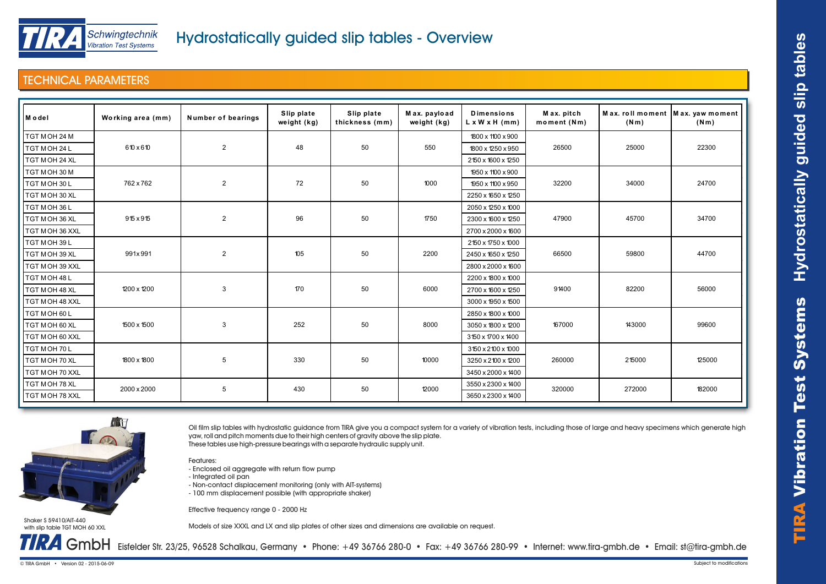

## TECHNICAL PARAMETERS

| Model           | Working area (mm) | Number of bearings | Slip plate<br>weight (kg) | Slip plate<br>thickness (mm) | Max. payload<br>weight (kg) | <b>Dimensions</b><br>$L \times W \times H$ (mm) | Max. pitch<br>moment (Nm) | (Nm)   | Max. roll moment   Max. yaw moment<br>(Nm) |  |
|-----------------|-------------------|--------------------|---------------------------|------------------------------|-----------------------------|-------------------------------------------------|---------------------------|--------|--------------------------------------------|--|
| TGT MOH 24 M    |                   |                    |                           |                              |                             | 1800 x 1100 x 900                               |                           |        |                                            |  |
| TGT MOH 24 L    | 610 x 610         | $\overline{2}$     | 48                        | 50                           | 550                         | 1800 x 1250 x 950                               | 26500                     | 25000  | 22300                                      |  |
| TGT MOH 24 XL   |                   |                    |                           |                              |                             | 2150 x 1600 x 1250                              |                           |        |                                            |  |
| TGT MOH 30 M    | 762 x 762         | $\overline{2}$     | 72                        | 50                           | 1000                        | 1950 x 1100 x 900                               | 32200                     | 34000  |                                            |  |
| TGT MOH 30L     |                   |                    |                           |                              |                             | 1950 x 1100 x 950                               |                           |        | 24700                                      |  |
| TGT M OH 30 XL  |                   |                    |                           |                              |                             | 2250 x 1650 x 1250                              |                           |        |                                            |  |
| TGT MOH 36 L    | 915 x 915         | $\overline{2}$     | 96                        | 50                           | 1750                        | 2050 x 1250 x 1000                              | 47900                     | 45700  |                                            |  |
| TGT M OH 36 XL  |                   |                    |                           |                              |                             | 2300 x 1600 x 1250                              |                           |        | 34700                                      |  |
| TGT MOH 36 XXL  |                   |                    |                           |                              |                             | 2700 x 2000 x 1600                              |                           |        |                                            |  |
| TGT MOH 39L     |                   |                    |                           |                              |                             | 2150 x 1750 x 1000                              |                           |        |                                            |  |
| TGT M OH 39 XL  | 991x991           | $\overline{2}$     | 105                       | 50                           | 2200                        | 2450 x 1650 x 1250                              | 66500                     | 59800  | 44700                                      |  |
| TGT MOH 39 XXL  |                   |                    |                           |                              |                             | 2800 x 2000 x 1600                              |                           |        |                                            |  |
| TGT MOH 48L     |                   |                    |                           |                              |                             | 2200 x 1800 x 1000                              |                           |        |                                            |  |
| TGT MOH 48 XL   | 1200 x 1200       | 3                  | 170                       | 50                           | 6000                        | 2700 x 1600 x 1250                              | 91400                     | 82200  | 56000                                      |  |
| TGT MOH 48 XXL  |                   |                    |                           |                              |                             | 3000 x 1950 x 1500                              |                           |        |                                            |  |
| TGT MOH 60L     |                   |                    |                           |                              |                             | 2850 x 1800 x 1000                              |                           |        |                                            |  |
| TGT M OH 60 XL  | 1500 x 1500       | 3                  | 252                       | 50                           | 8000                        | 3050 x 1800 x 1200                              | 167000                    | 143000 | 99600                                      |  |
| TGT M OH 60 XXL |                   |                    |                           |                              |                             | 3150 x 1700 x 1400                              |                           |        |                                            |  |
| TGT MOH 70L     |                   |                    |                           |                              |                             | 3150 x 2100 x 1000                              |                           |        |                                            |  |
| TGT MOH 70 XL   | 1800 x 1800       | 5                  | 330                       | 50                           | 10000                       | 3250 x 2100 x 1200                              | 260000                    | 215000 | 125000                                     |  |
| TGT MOH 70 XXL  |                   |                    |                           |                              |                             | 3450 x 2000 x 1400                              |                           |        |                                            |  |
| TGT M OH 78 XL  | 2000 x 2000       | 5                  | 430                       | 50                           | 12000                       | 3550 x 2300 x 1400                              | 320000                    | 272000 | 182000                                     |  |
| TGT MOH 78 XXL  |                   |                    |                           |                              |                             | 3650 x 2300 x 1400                              |                           |        |                                            |  |



Oil film slip tables with hydrostatic guidance from TIRA give you a compact system for a variety of vibration tests, including those of large and heavy specimens which generate high yaw, roll and pitch moments due to their high centers of gravity above the slip plate.

These tables use high-pressure bearings with a separate hydraulic supply unit.

Features:

- Enclosed oil aggregate with return flow pump - Integrated oil pan

Effective frequency range 0 - 2000 Hz

- Non-contact displacement monitoring (only with AIT-systems)

- 100 mm displacement possible (with appropriate shaker)

Shaker S 59410/AIT-440 with slip table TGT MOH 60 XXL Models of size XXXL and LX and slip plates of other sizes and dimensions are available on request.

GMDH Eisfelder Str. 23/25, 96528 Schalkau, Germany • Phone: +49 36766 280-0 • Fax: +49 36766 280-99 • Internet: www.tira-gmbh.de • Email: st@tira-gmbh.de